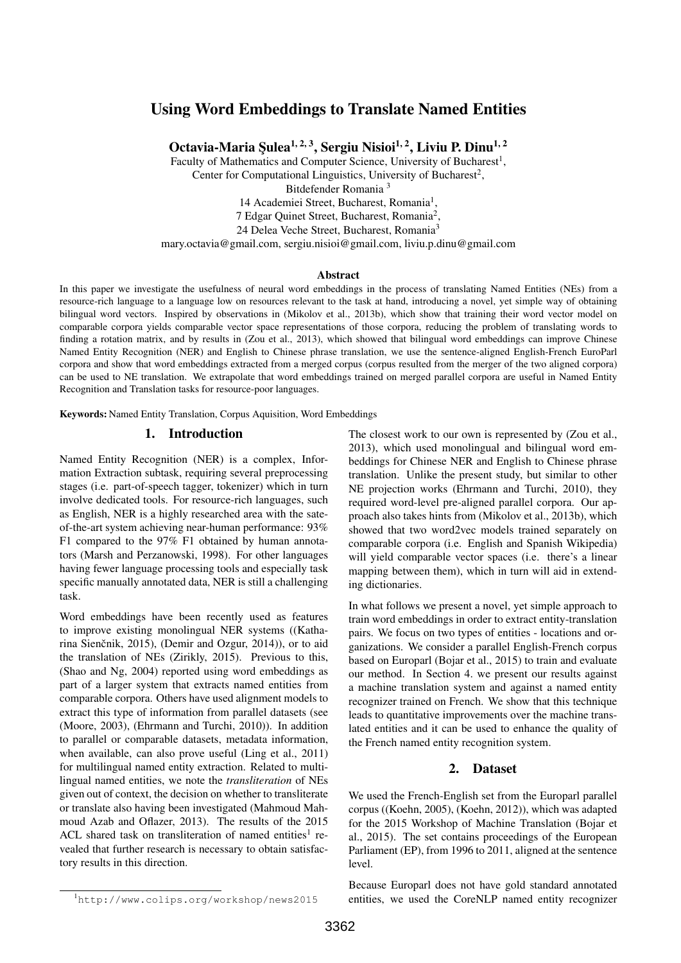# Using Word Embeddings to Translate Named Entities

Octavia-Maria Sulea<sup>1, 2, 3</sup>, Sergiu Nisioi<sup>1, 2</sup>, Liviu P. Dinu<sup>1, 2</sup>

Faculty of Mathematics and Computer Science, University of Bucharest<sup>1</sup>, Center for Computational Linguistics, University of Bucharest<sup>2</sup>, Bitdefender Romania <sup>3</sup> 14 Academiei Street, Bucharest, Romania<sup>1</sup>, 7 Edgar Quinet Street, Bucharest, Romania<sup>2</sup>, 24 Delea Veche Street, Bucharest, Romania<sup>3</sup> mary.octavia@gmail.com, sergiu.nisioi@gmail.com, liviu.p.dinu@gmail.com

#### Abstract

In this paper we investigate the usefulness of neural word embeddings in the process of translating Named Entities (NEs) from a resource-rich language to a language low on resources relevant to the task at hand, introducing a novel, yet simple way of obtaining bilingual word vectors. Inspired by observations in (Mikolov et al., 2013b), which show that training their word vector model on comparable corpora yields comparable vector space representations of those corpora, reducing the problem of translating words to finding a rotation matrix, and by results in (Zou et al., 2013), which showed that bilingual word embeddings can improve Chinese Named Entity Recognition (NER) and English to Chinese phrase translation, we use the sentence-aligned English-French EuroParl corpora and show that word embeddings extracted from a merged corpus (corpus resulted from the merger of the two aligned corpora) can be used to NE translation. We extrapolate that word embeddings trained on merged parallel corpora are useful in Named Entity Recognition and Translation tasks for resource-poor languages.

Keywords: Named Entity Translation, Corpus Aquisition, Word Embeddings

### 1. Introduction

Named Entity Recognition (NER) is a complex, Information Extraction subtask, requiring several preprocessing stages (i.e. part-of-speech tagger, tokenizer) which in turn involve dedicated tools. For resource-rich languages, such as English, NER is a highly researched area with the sateof-the-art system achieving near-human performance: 93% F1 compared to the 97% F1 obtained by human annotators (Marsh and Perzanowski, 1998). For other languages having fewer language processing tools and especially task specific manually annotated data, NER is still a challenging task.

Word embeddings have been recently used as features to improve existing monolingual NER systems ((Katharina Sienčnik, 2015), (Demir and Ozgur, 2014)), or to aid the translation of NEs (Zirikly, 2015). Previous to this, (Shao and Ng, 2004) reported using word embeddings as part of a larger system that extracts named entities from comparable corpora. Others have used alignment models to extract this type of information from parallel datasets (see (Moore, 2003), (Ehrmann and Turchi, 2010)). In addition to parallel or comparable datasets, metadata information, when available, can also prove useful (Ling et al., 2011) for multilingual named entity extraction. Related to multilingual named entities, we note the *transliteration* of NEs given out of context, the decision on whether to transliterate or translate also having been investigated (Mahmoud Mahmoud Azab and Oflazer, 2013). The results of the 2015 ACL shared task on transliteration of named entities<sup>1</sup> revealed that further research is necessary to obtain satisfactory results in this direction.

The closest work to our own is represented by (Zou et al., 2013), which used monolingual and bilingual word embeddings for Chinese NER and English to Chinese phrase translation. Unlike the present study, but similar to other NE projection works (Ehrmann and Turchi, 2010), they required word-level pre-aligned parallel corpora. Our approach also takes hints from (Mikolov et al., 2013b), which showed that two word2vec models trained separately on comparable corpora (i.e. English and Spanish Wikipedia) will yield comparable vector spaces (i.e. there's a linear mapping between them), which in turn will aid in extending dictionaries.

In what follows we present a novel, yet simple approach to train word embeddings in order to extract entity-translation pairs. We focus on two types of entities - locations and organizations. We consider a parallel English-French corpus based on Europarl (Bojar et al., 2015) to train and evaluate our method. In Section 4. we present our results against a machine translation system and against a named entity recognizer trained on French. We show that this technique leads to quantitative improvements over the machine translated entities and it can be used to enhance the quality of the French named entity recognition system.

### 2. Dataset

We used the French-English set from the Europarl parallel corpus ((Koehn, 2005), (Koehn, 2012)), which was adapted for the 2015 Workshop of Machine Translation (Bojar et al., 2015). The set contains proceedings of the European Parliament (EP), from 1996 to 2011, aligned at the sentence level.

Because Europarl does not have gold standard annotated entities, we used the CoreNLP named entity recognizer

<sup>1</sup>http://www.colips.org/workshop/news2015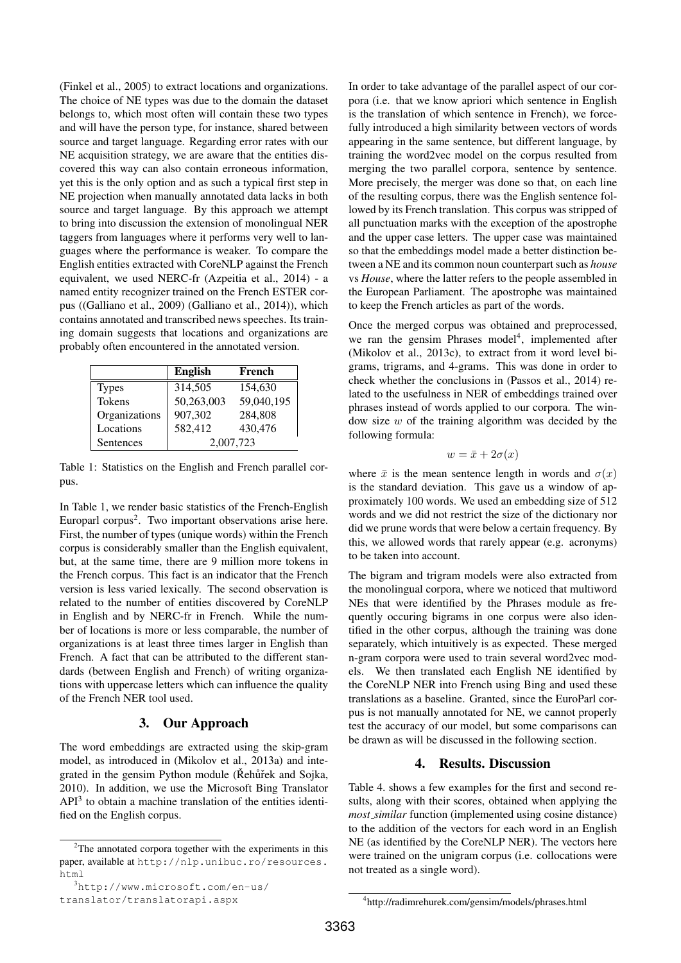(Finkel et al., 2005) to extract locations and organizations. The choice of NE types was due to the domain the dataset belongs to, which most often will contain these two types and will have the person type, for instance, shared between source and target language. Regarding error rates with our NE acquisition strategy, we are aware that the entities discovered this way can also contain erroneous information, yet this is the only option and as such a typical first step in NE projection when manually annotated data lacks in both source and target language. By this approach we attempt to bring into discussion the extension of monolingual NER taggers from languages where it performs very well to languages where the performance is weaker. To compare the English entities extracted with CoreNLP against the French equivalent, we used NERC-fr (Azpeitia et al., 2014) - a named entity recognizer trained on the French ESTER corpus ((Galliano et al., 2009) (Galliano et al., 2014)), which contains annotated and transcribed news speeches. Its training domain suggests that locations and organizations are probably often encountered in the annotated version.

|               | <b>English</b> | French     |
|---------------|----------------|------------|
| <b>Types</b>  | 314,505        | 154,630    |
| Tokens        | 50,263,003     | 59,040,195 |
| Organizations | 907,302        | 284,808    |
| Locations     | 582,412        | 430,476    |
| Sentences     | 2,007,723      |            |

Table 1: Statistics on the English and French parallel corpus.

In Table 1, we render basic statistics of the French-English Europarl corpus<sup>2</sup>. Two important observations arise here. First, the number of types (unique words) within the French corpus is considerably smaller than the English equivalent, but, at the same time, there are 9 million more tokens in the French corpus. This fact is an indicator that the French version is less varied lexically. The second observation is related to the number of entities discovered by CoreNLP in English and by NERC-fr in French. While the number of locations is more or less comparable, the number of organizations is at least three times larger in English than French. A fact that can be attributed to the different standards (between English and French) of writing organizations with uppercase letters which can influence the quality of the French NER tool used.

### 3. Our Approach

The word embeddings are extracted using the skip-gram model, as introduced in (Mikolov et al., 2013a) and integrated in the gensim Python module (Rehur̃ek and Sojka, 2010). In addition, we use the Microsoft Bing Translator  $API<sup>3</sup>$  to obtain a machine translation of the entities identified on the English corpus.

In order to take advantage of the parallel aspect of our corpora (i.e. that we know apriori which sentence in English is the translation of which sentence in French), we forcefully introduced a high similarity between vectors of words appearing in the same sentence, but different language, by training the word2vec model on the corpus resulted from merging the two parallel corpora, sentence by sentence. More precisely, the merger was done so that, on each line of the resulting corpus, there was the English sentence followed by its French translation. This corpus was stripped of all punctuation marks with the exception of the apostrophe and the upper case letters. The upper case was maintained so that the embeddings model made a better distinction between a NE and its common noun counterpart such as *house* vs *House*, where the latter refers to the people assembled in the European Parliament. The apostrophe was maintained to keep the French articles as part of the words.

Once the merged corpus was obtained and preprocessed, we ran the gensim Phrases model<sup>4</sup>, implemented after (Mikolov et al., 2013c), to extract from it word level bigrams, trigrams, and 4-grams. This was done in order to check whether the conclusions in (Passos et al., 2014) related to the usefulness in NER of embeddings trained over phrases instead of words applied to our corpora. The window size  $w$  of the training algorithm was decided by the following formula:

$$
w = \bar{x} + 2\sigma(x)
$$

where  $\bar{x}$  is the mean sentence length in words and  $\sigma(x)$ is the standard deviation. This gave us a window of approximately 100 words. We used an embedding size of 512 words and we did not restrict the size of the dictionary nor did we prune words that were below a certain frequency. By this, we allowed words that rarely appear (e.g. acronyms) to be taken into account.

The bigram and trigram models were also extracted from the monolingual corpora, where we noticed that multiword NEs that were identified by the Phrases module as frequently occuring bigrams in one corpus were also identified in the other corpus, although the training was done separately, which intuitively is as expected. These merged n-gram corpora were used to train several word2vec models. We then translated each English NE identified by the CoreNLP NER into French using Bing and used these translations as a baseline. Granted, since the EuroParl corpus is not manually annotated for NE, we cannot properly test the accuracy of our model, but some comparisons can be drawn as will be discussed in the following section.

### 4. Results. Discussion

Table 4. shows a few examples for the first and second results, along with their scores, obtained when applying the *most similar* function (implemented using cosine distance) to the addition of the vectors for each word in an English NE (as identified by the CoreNLP NER). The vectors here were trained on the unigram corpus (i.e. collocations were not treated as a single word).

4 http://radimrehurek.com/gensim/models/phrases.html

<sup>&</sup>lt;sup>2</sup>The annotated corpora together with the experiments in this paper, available at http://nlp.unibuc.ro/resources. html

<sup>3</sup>http://www.microsoft.com/en-us/ translator/translatorapi.aspx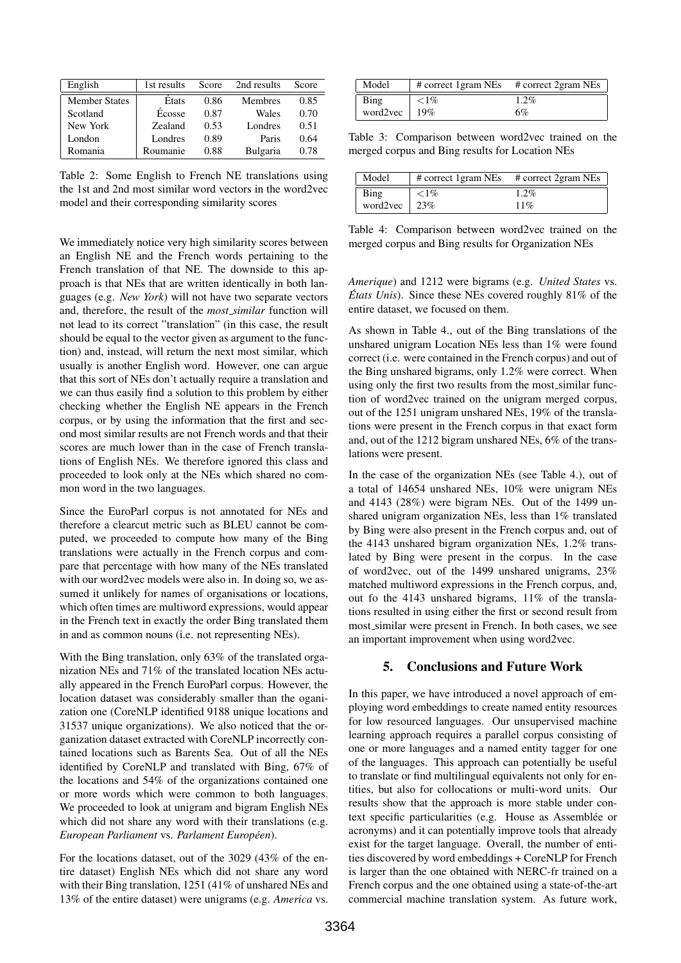| English              | 1st results    | Score | 2nd results    | Score |
|----------------------|----------------|-------|----------------|-------|
| <b>Member States</b> | États          | 0.86  | <b>Membres</b> | 0.85  |
| Scotland             | Ecosse         | 0.87  | Wales          | 0.70  |
| New York             | <b>Zealand</b> | 0.53  | Londres        | 0.51  |
| London               | Londres        | 0.89  | Paris          | 0.64  |
| Romania              | Roumanie       | 0.88  | Bulgaria       | 0.78  |

Table 2: Some English to French NE translations using the 1st and 2nd most similar word vectors in the word2vec model and their corresponding similarity scores

We immediately notice very high similarity scores between an English NE and the French words pertaining to the French translation of that NE. The downside to this approach is that NEs that are written identically in both languages (e.g. *New York*) will not have two separate vectors and, therefore, the result of the *most similar* function will not lead to its correct "translation" (in this case, the result should be equal to the vector given as argument to the function) and, instead, will return the next most similar, which usually is another English word. However, one can argue that this sort of NEs don't actually require a translation and we can thus easily find a solution to this problem by either checking whether the English NE appears in the French corpus, or by using the information that the first and second most similar results are not French words and that their scores are much lower than in the case of French translations of English NEs. We therefore ignored this class and proceeded to look only at the NEs which shared no common word in the two languages.

Since the EuroParl corpus is not annotated for NEs and therefore a clearcut metric such as BLEU cannot be computed, we proceeded to compute how many of the Bing translations were actually in the French corpus and compare that percentage with how many of the NEs translated with our word2vec models were also in. In doing so, we assumed it unlikely for names of organisations or locations, which often times are multiword expressions, would appear in the French text in exactly the order Bing translated them in and as common nouns (i.e. not representing NEs).

With the Bing translation, only 63% of the translated organization NEs and 71% of the translated location NEs actually appeared in the French EuroParl corpus. However, the location dataset was considerably smaller than the oganization one (CoreNLP identified 9188 unique locations and 31537 unique organizations). We also noticed that the organization dataset extracted with CoreNLP incorrectly contained locations such as Barents Sea. Out of all the NEs identified by CoreNLP and translated with Bing, 67% of the locations and 54% of the organizations contained one or more words which were common to both languages. We proceeded to look at unigram and bigram English NEs which did not share any word with their translations (e.g. *European Parliament* vs. *Parlament Européen*).

For the locations dataset, out of the 3029 (43% of the entire dataset) English NEs which did not share any word with their Bing translation, 1251 (41% of unshared NEs and 13% of the entire dataset) were unigrams (e.g. *America* vs.

| Model          |          | $\#$ correct 1 gram NEs $\#$ correct 2 gram NEs $\ $ |
|----------------|----------|------------------------------------------------------|
| Bing           | ${<}1\%$ | $1.2\%$                                              |
| word2vec   19% |          | 6%                                                   |

Table 3: Comparison between word2vec trained on the merged corpus and Bing results for Location NEs

| Model             | $\#$ correct 1 gram NEs $\#$ correct 2 gram NEs |         |
|-------------------|-------------------------------------------------|---------|
| Bing              | $\langle 1\%$                                   | $1.2\%$ |
| word2vec   $23\%$ |                                                 | 11%     |

Table 4: Comparison between word2vec trained on the merged corpus and Bing results for Organization NEs

*Amerique*) and 1212 were bigrams (e.g. *United States* vs. *États Unis*). Since these NEs covered roughly 81% of the entire dataset, we focused on them.

As shown in Table 4., out of the Bing translations of the unshared unigram Location NEs less than 1% were found correct (i.e. were contained in the French corpus) and out of the Bing unshared bigrams, only 1.2% were correct. When using only the first two results from the most similar function of word2vec trained on the unigram merged corpus, out of the 1251 unigram unshared NEs, 19% of the translations were present in the French corpus in that exact form and, out of the 1212 bigram unshared NEs, 6% of the translations were present.

In the case of the organization NEs (see Table 4.), out of a total of 14654 unshared NEs, 10% were unigram NEs and 4143 (28%) were bigram NEs. Out of the 1499 unshared unigram organization NEs, less than 1% translated by Bing were also present in the French corpus and, out of the 4143 unshared bigram organization NEs, 1.2% translated by Bing were present in the corpus. In the case of word2vec, out of the 1499 unshared unigrams, 23% matched multiword expressions in the French corpus, and, out fo the 4143 unshared bigrams, 11% of the translations resulted in using either the first or second result from most similar were present in French. In both cases, we see an important improvement when using word2vec.

### 5. Conclusions and Future Work

In this paper, we have introduced a novel approach of employing word embeddings to create named entity resources for low resourced languages. Our unsupervised machine learning approach requires a parallel corpus consisting of one or more languages and a named entity tagger for one of the languages. This approach can potentially be useful to translate or find multilingual equivalents not only for entities, but also for collocations or multi-word units. Our results show that the approach is more stable under context specific particularities (e.g. House as Assemblée or acronyms) and it can potentially improve tools that already exist for the target language. Overall, the number of entities discovered by word embeddings + CoreNLP for French is larger than the one obtained with NERC-fr trained on a French corpus and the one obtained using a state-of-the-art commercial machine translation system. As future work,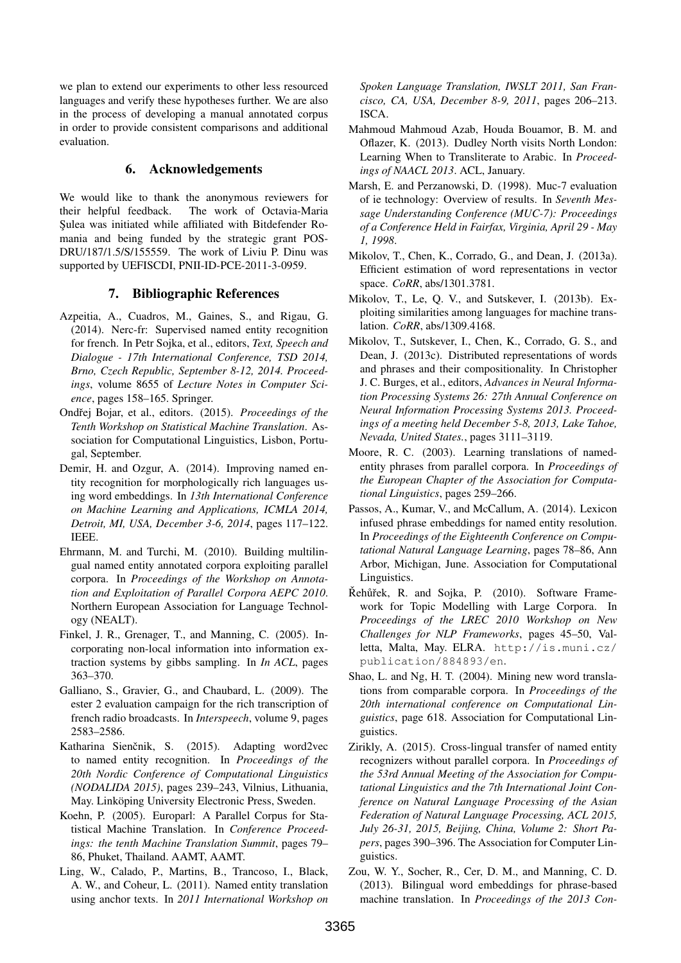we plan to extend our experiments to other less resourced languages and verify these hypotheses further. We are also in the process of developing a manual annotated corpus in order to provide consistent comparisons and additional evaluation.

### 6. Acknowledgements

We would like to thank the anonymous reviewers for their helpful feedback. The work of Octavia-Maria Sulea was initiated while affiliated with Bitdefender Romania and being funded by the strategic grant POS-DRU/187/1.5/S/155559. The work of Liviu P. Dinu was supported by UEFISCDI, PNII-ID-PCE-2011-3-0959.

### 7. Bibliographic References

- Azpeitia, A., Cuadros, M., Gaines, S., and Rigau, G. (2014). Nerc-fr: Supervised named entity recognition for french. In Petr Sojka, et al., editors, *Text, Speech and Dialogue - 17th International Conference, TSD 2014, Brno, Czech Republic, September 8-12, 2014. Proceedings*, volume 8655 of *Lecture Notes in Computer Science*, pages 158–165. Springer.
- Ondřej Bojar, et al., editors. (2015). *Proceedings of the Tenth Workshop on Statistical Machine Translation*. Association for Computational Linguistics, Lisbon, Portugal, September.
- Demir, H. and Ozgur, A. (2014). Improving named entity recognition for morphologically rich languages using word embeddings. In *13th International Conference on Machine Learning and Applications, ICMLA 2014, Detroit, MI, USA, December 3-6, 2014*, pages 117–122. IEEE.
- Ehrmann, M. and Turchi, M. (2010). Building multilingual named entity annotated corpora exploiting parallel corpora. In *Proceedings of the Workshop on Annotation and Exploitation of Parallel Corpora AEPC 2010*. Northern European Association for Language Technology (NEALT).
- Finkel, J. R., Grenager, T., and Manning, C. (2005). Incorporating non-local information into information extraction systems by gibbs sampling. In *In ACL*, pages 363–370.
- Galliano, S., Gravier, G., and Chaubard, L. (2009). The ester 2 evaluation campaign for the rich transcription of french radio broadcasts. In *Interspeech*, volume 9, pages 2583–2586.
- Katharina Sienčnik, S. (2015). Adapting word2vec to named entity recognition. In *Proceedings of the 20th Nordic Conference of Computational Linguistics (NODALIDA 2015)*, pages 239–243, Vilnius, Lithuania, May. Linköping University Electronic Press, Sweden.
- Koehn, P. (2005). Europarl: A Parallel Corpus for Statistical Machine Translation. In *Conference Proceedings: the tenth Machine Translation Summit*, pages 79– 86, Phuket, Thailand. AAMT, AAMT.
- Ling, W., Calado, P., Martins, B., Trancoso, I., Black, A. W., and Coheur, L. (2011). Named entity translation using anchor texts. In *2011 International Workshop on*

*Spoken Language Translation, IWSLT 2011, San Francisco, CA, USA, December 8-9, 2011*, pages 206–213. ISCA.

- Mahmoud Mahmoud Azab, Houda Bouamor, B. M. and Oflazer, K. (2013). Dudley North visits North London: Learning When to Transliterate to Arabic. In *Proceedings of NAACL 2013*. ACL, January.
- Marsh, E. and Perzanowski, D. (1998). Muc-7 evaluation of ie technology: Overview of results. In *Seventh Message Understanding Conference (MUC-7): Proceedings of a Conference Held in Fairfax, Virginia, April 29 - May 1, 1998*.
- Mikolov, T., Chen, K., Corrado, G., and Dean, J. (2013a). Efficient estimation of word representations in vector space. *CoRR*, abs/1301.3781.
- Mikolov, T., Le, Q. V., and Sutskever, I. (2013b). Exploiting similarities among languages for machine translation. *CoRR*, abs/1309.4168.
- Mikolov, T., Sutskever, I., Chen, K., Corrado, G. S., and Dean, J. (2013c). Distributed representations of words and phrases and their compositionality. In Christopher J. C. Burges, et al., editors, *Advances in Neural Information Processing Systems 26: 27th Annual Conference on Neural Information Processing Systems 2013. Proceedings of a meeting held December 5-8, 2013, Lake Tahoe, Nevada, United States.*, pages 3111–3119.
- Moore, R. C. (2003). Learning translations of namedentity phrases from parallel corpora. In *Proceedings of the European Chapter of the Association for Computational Linguistics*, pages 259–266.
- Passos, A., Kumar, V., and McCallum, A. (2014). Lexicon infused phrase embeddings for named entity resolution. In *Proceedings of the Eighteenth Conference on Computational Natural Language Learning*, pages 78–86, Ann Arbor, Michigan, June. Association for Computational Linguistics.
- Řehůřek, R. and Sojka, P. (2010). Software Framework for Topic Modelling with Large Corpora. In *Proceedings of the LREC 2010 Workshop on New Challenges for NLP Frameworks*, pages 45–50, Valletta, Malta, May. ELRA. http://is.muni.cz/ publication/884893/en.
- Shao, L. and Ng, H. T. (2004). Mining new word translations from comparable corpora. In *Proceedings of the 20th international conference on Computational Linguistics*, page 618. Association for Computational Linguistics.
- Zirikly, A. (2015). Cross-lingual transfer of named entity recognizers without parallel corpora. In *Proceedings of the 53rd Annual Meeting of the Association for Computational Linguistics and the 7th International Joint Conference on Natural Language Processing of the Asian Federation of Natural Language Processing, ACL 2015, July 26-31, 2015, Beijing, China, Volume 2: Short Papers*, pages 390–396. The Association for Computer Linguistics.
- Zou, W. Y., Socher, R., Cer, D. M., and Manning, C. D. (2013). Bilingual word embeddings for phrase-based machine translation. In *Proceedings of the 2013 Con-*